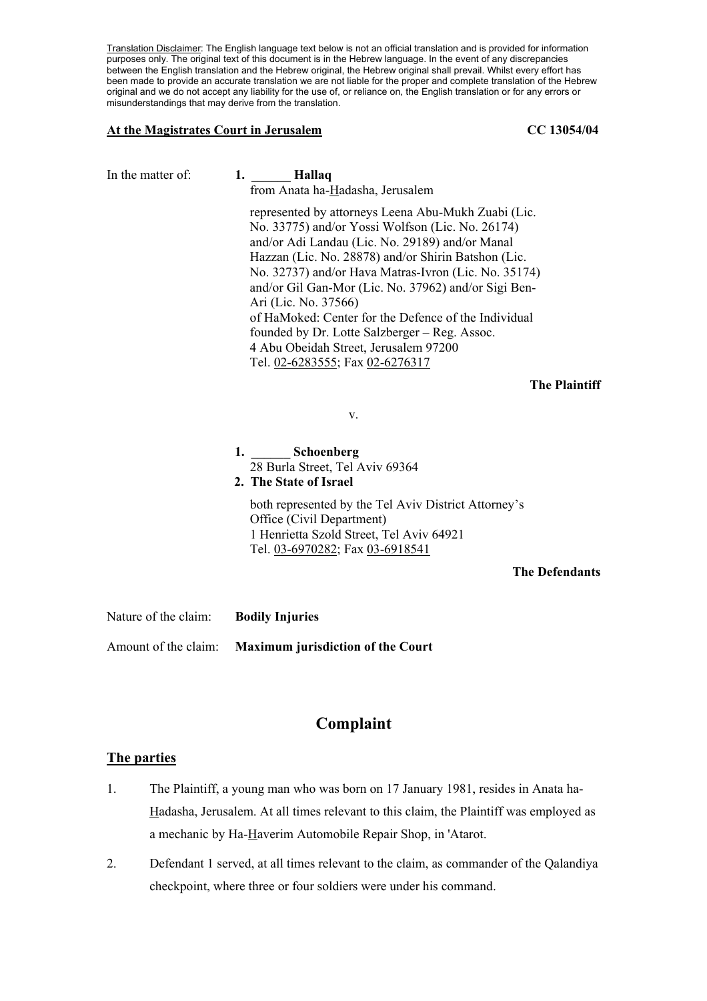Translation Disclaimer: The English language text below is not an official translation and is provided for information purposes only. The original text of this document is in the Hebrew language. In the event of any discrepancies between the English translation and the Hebrew original, the Hebrew original shall prevail. Whilst every effort has been made to provide an accurate translation we are not liable for the proper and complete translation of the Hebrew original and we do not accept any liability for the use of, or reliance on, the English translation or for any errors or misunderstandings that may derive from the translation.

#### At the Magistrates Court in Jerusalem **CC 13054/04**

| In the matter of: | 1. Hallaq<br>from Anata ha-Hadasha, Jerusalem                                                                                                                                                                                                                                                                                                                                                                                                                                                                                                  |
|-------------------|------------------------------------------------------------------------------------------------------------------------------------------------------------------------------------------------------------------------------------------------------------------------------------------------------------------------------------------------------------------------------------------------------------------------------------------------------------------------------------------------------------------------------------------------|
|                   | represented by attorneys Leena Abu-Mukh Zuabi (Lic.<br>No. 33775) and/or Yossi Wolfson (Lic. No. 26174)<br>and/or Adi Landau (Lic. No. 29189) and/or Manal<br>Hazzan (Lic. No. 28878) and/or Shirin Batshon (Lic.<br>No. 32737) and/or Hava Matras-Ivron (Lic. No. 35174)<br>and/or Gil Gan-Mor (Lic. No. 37962) and/or Sigi Ben-<br>Ari (Lic. No. 37566)<br>of HaMoked: Center for the Defence of the Individual<br>founded by Dr. Lotte Salzberger – Reg. Assoc.<br>4 Abu Obeidah Street, Jerusalem 97200<br>Tel. 02-6283555; Fax 02-6276317 |
|                   | <b>The Plaintiff</b>                                                                                                                                                                                                                                                                                                                                                                                                                                                                                                                           |
|                   | V.                                                                                                                                                                                                                                                                                                                                                                                                                                                                                                                                             |
|                   | 1. Schoenberg<br>28 Burla Street, Tel Aviv 69364<br>2. The State of Israel                                                                                                                                                                                                                                                                                                                                                                                                                                                                     |
|                   | both represented by the Tel Aviv District Attorney's<br>Office (Civil Department)<br>1 Henrietta Szold Street, Tel Aviv 64921<br>Tel. 03-6970282; Fax 03-6918541                                                                                                                                                                                                                                                                                                                                                                               |
|                   | <b>The Defendants</b>                                                                                                                                                                                                                                                                                                                                                                                                                                                                                                                          |

Nature of the claim: **Bodily Injuries** 

Amount of the claim: **Maximum jurisdiction of the Court** 

# **Complaint**

# **The parties**

- 1. The Plaintiff, a young man who was born on 17 January 1981, resides in Anata ha-Hadasha, Jerusalem. At all times relevant to this claim, the Plaintiff was employed as a mechanic by Ha-Haverim Automobile Repair Shop, in 'Atarot.
- 2. Defendant 1 served, at all times relevant to the claim, as commander of the Qalandiya checkpoint, where three or four soldiers were under his command.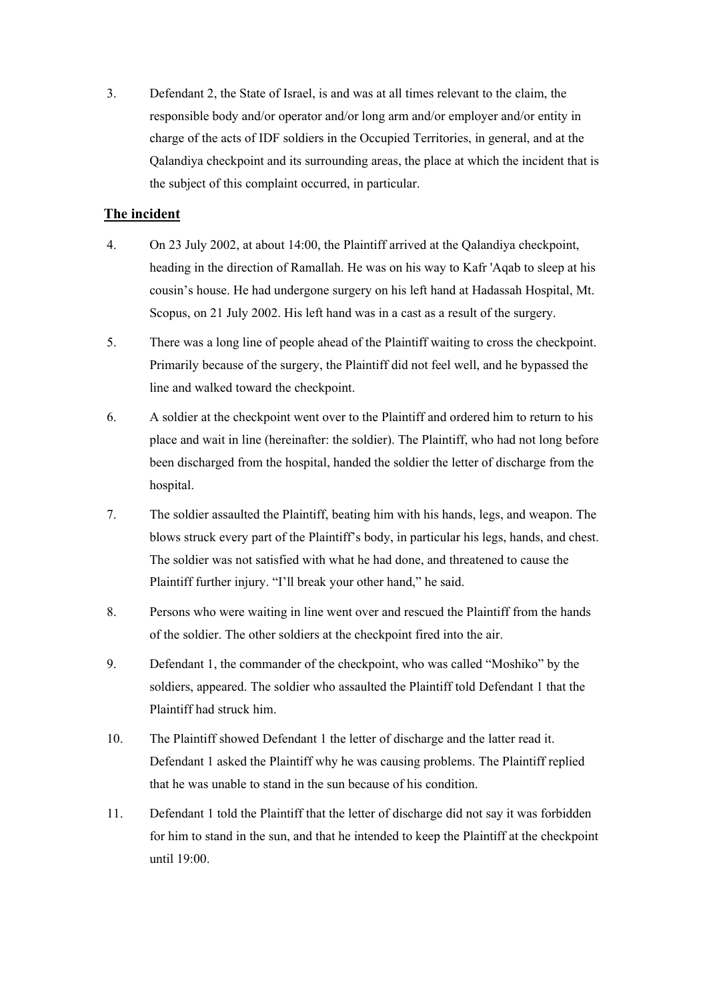3. Defendant 2, the State of Israel, is and was at all times relevant to the claim, the responsible body and/or operator and/or long arm and/or employer and/or entity in charge of the acts of IDF soldiers in the Occupied Territories, in general, and at the Qalandiya checkpoint and its surrounding areas, the place at which the incident that is the subject of this complaint occurred, in particular.

# **The incident**

- 4. On 23 July 2002, at about 14:00, the Plaintiff arrived at the Qalandiya checkpoint, heading in the direction of Ramallah. He was on his way to Kafr 'Aqab to sleep at his cousin's house. He had undergone surgery on his left hand at Hadassah Hospital, Mt. Scopus, on 21 July 2002. His left hand was in a cast as a result of the surgery.
- 5. There was a long line of people ahead of the Plaintiff waiting to cross the checkpoint. Primarily because of the surgery, the Plaintiff did not feel well, and he bypassed the line and walked toward the checkpoint.
- 6. A soldier at the checkpoint went over to the Plaintiff and ordered him to return to his place and wait in line (hereinafter: the soldier). The Plaintiff, who had not long before been discharged from the hospital, handed the soldier the letter of discharge from the hospital.
- 7. The soldier assaulted the Plaintiff, beating him with his hands, legs, and weapon. The blows struck every part of the Plaintiff's body, in particular his legs, hands, and chest. The soldier was not satisfied with what he had done, and threatened to cause the Plaintiff further injury. "I'll break your other hand," he said.
- 8. Persons who were waiting in line went over and rescued the Plaintiff from the hands of the soldier. The other soldiers at the checkpoint fired into the air.
- 9. Defendant 1, the commander of the checkpoint, who was called "Moshiko" by the soldiers, appeared. The soldier who assaulted the Plaintiff told Defendant 1 that the Plaintiff had struck him.
- 10. The Plaintiff showed Defendant 1 the letter of discharge and the latter read it. Defendant 1 asked the Plaintiff why he was causing problems. The Plaintiff replied that he was unable to stand in the sun because of his condition.
- 11. Defendant 1 told the Plaintiff that the letter of discharge did not say it was forbidden for him to stand in the sun, and that he intended to keep the Plaintiff at the checkpoint until 19:00.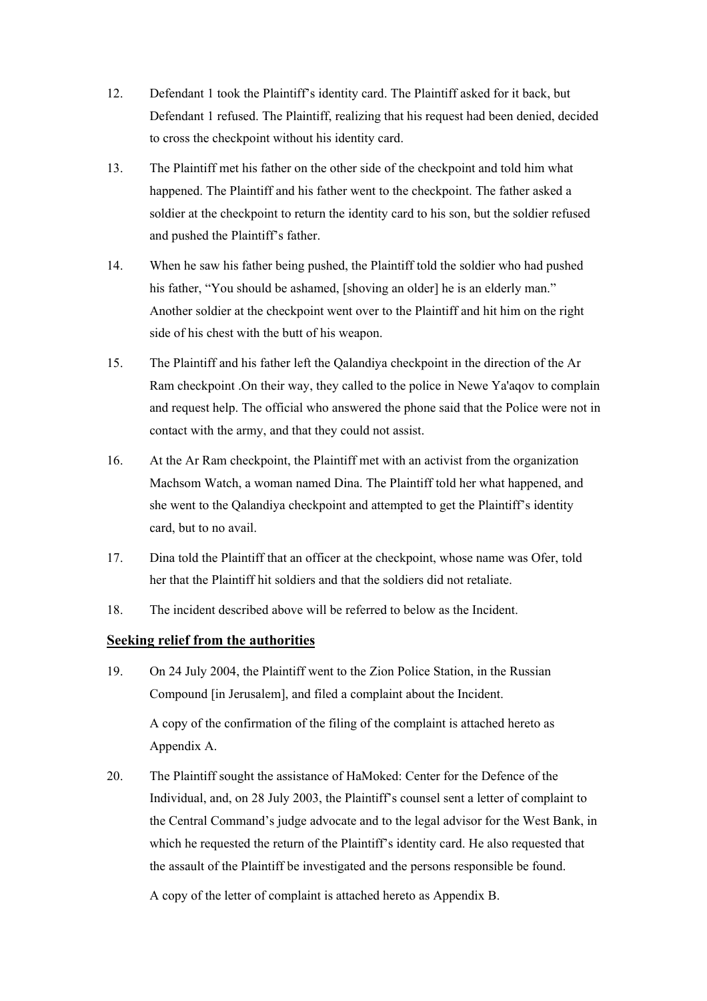- 12. Defendant 1 took the Plaintiff's identity card. The Plaintiff asked for it back, but Defendant 1 refused. The Plaintiff, realizing that his request had been denied, decided to cross the checkpoint without his identity card.
- 13. The Plaintiff met his father on the other side of the checkpoint and told him what happened. The Plaintiff and his father went to the checkpoint. The father asked a soldier at the checkpoint to return the identity card to his son, but the soldier refused and pushed the Plaintiff's father.
- 14. When he saw his father being pushed, the Plaintiff told the soldier who had pushed his father, "You should be ashamed, [shoving an older] he is an elderly man." Another soldier at the checkpoint went over to the Plaintiff and hit him on the right side of his chest with the butt of his weapon.
- 15. The Plaintiff and his father left the Qalandiya checkpoint in the direction of the Ar Ram checkpoint .On their way, they called to the police in Newe Ya'aqov to complain and request help. The official who answered the phone said that the Police were not in contact with the army, and that they could not assist.
- 16. At the Ar Ram checkpoint, the Plaintiff met with an activist from the organization Machsom Watch, a woman named Dina. The Plaintiff told her what happened, and she went to the Qalandiya checkpoint and attempted to get the Plaintiff's identity card, but to no avail.
- 17. Dina told the Plaintiff that an officer at the checkpoint, whose name was Ofer, told her that the Plaintiff hit soldiers and that the soldiers did not retaliate.
- 18. The incident described above will be referred to below as the Incident.

# **Seeking relief from the authorities**

19. On 24 July 2004, the Plaintiff went to the Zion Police Station, in the Russian Compound [in Jerusalem], and filed a complaint about the Incident.

A copy of the confirmation of the filing of the complaint is attached hereto as Appendix A.

20. The Plaintiff sought the assistance of HaMoked: Center for the Defence of the Individual, and, on 28 July 2003, the Plaintiff's counsel sent a letter of complaint to the Central Command's judge advocate and to the legal advisor for the West Bank, in which he requested the return of the Plaintiff's identity card. He also requested that the assault of the Plaintiff be investigated and the persons responsible be found.

A copy of the letter of complaint is attached hereto as Appendix B.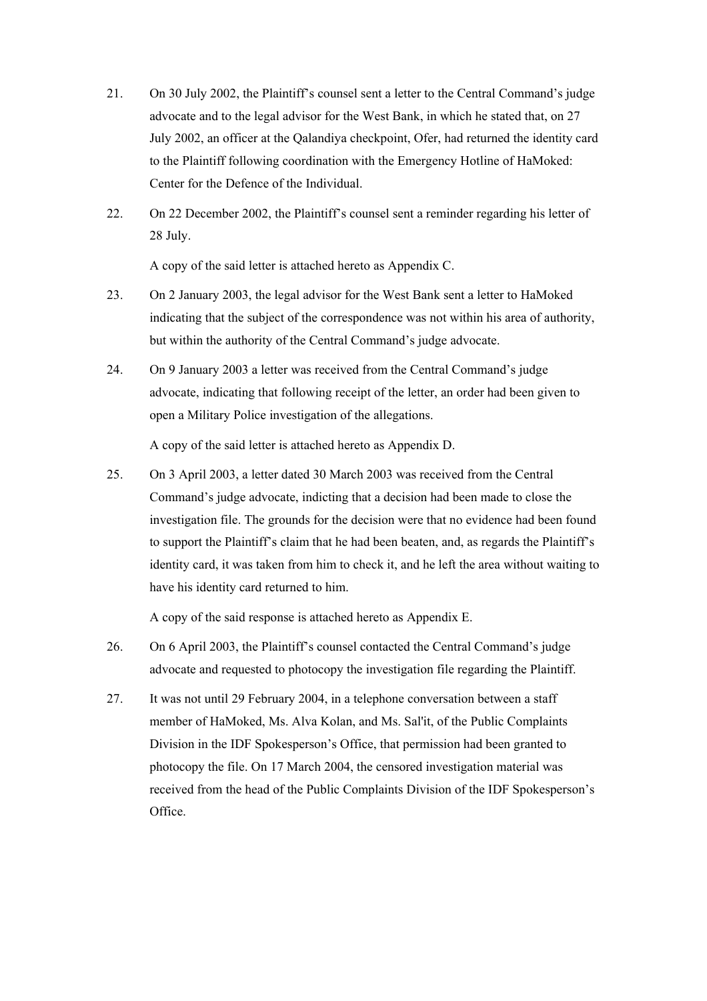- 21. On 30 July 2002, the Plaintiff's counsel sent a letter to the Central Command's judge advocate and to the legal advisor for the West Bank, in which he stated that, on 27 July 2002, an officer at the Qalandiya checkpoint, Ofer, had returned the identity card to the Plaintiff following coordination with the Emergency Hotline of HaMoked: Center for the Defence of the Individual.
- 22. On 22 December 2002, the Plaintiff's counsel sent a reminder regarding his letter of 28 July.

A copy of the said letter is attached hereto as Appendix C.

- 23. On 2 January 2003, the legal advisor for the West Bank sent a letter to HaMoked indicating that the subject of the correspondence was not within his area of authority, but within the authority of the Central Command's judge advocate.
- 24. On 9 January 2003 a letter was received from the Central Command's judge advocate, indicating that following receipt of the letter, an order had been given to open a Military Police investigation of the allegations.

A copy of the said letter is attached hereto as Appendix D.

25. On 3 April 2003, a letter dated 30 March 2003 was received from the Central Command's judge advocate, indicting that a decision had been made to close the investigation file. The grounds for the decision were that no evidence had been found to support the Plaintiff's claim that he had been beaten, and, as regards the Plaintiff's identity card, it was taken from him to check it, and he left the area without waiting to have his identity card returned to him.

A copy of the said response is attached hereto as Appendix E.

- 26. On 6 April 2003, the Plaintiff's counsel contacted the Central Command's judge advocate and requested to photocopy the investigation file regarding the Plaintiff.
- 27. It was not until 29 February 2004, in a telephone conversation between a staff member of HaMoked, Ms. Alva Kolan, and Ms. Sal'it, of the Public Complaints Division in the IDF Spokesperson's Office, that permission had been granted to photocopy the file. On 17 March 2004, the censored investigation material was received from the head of the Public Complaints Division of the IDF Spokesperson's Office.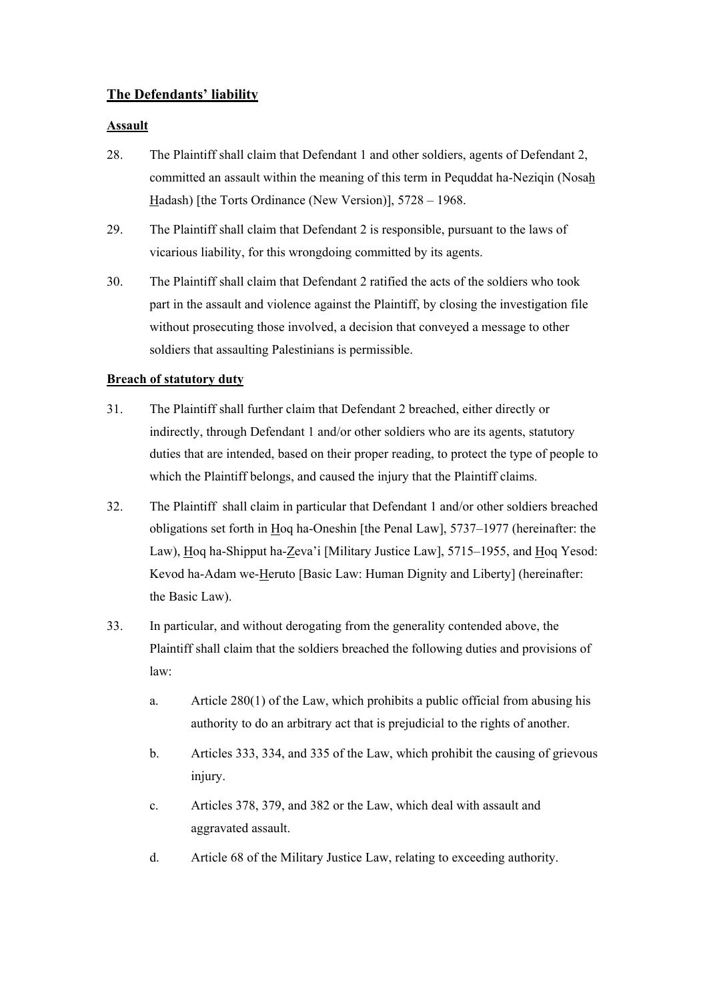# **The Defendants' liability**

# **Assault**

- 28. The Plaintiff shall claim that Defendant 1 and other soldiers, agents of Defendant 2, committed an assault within the meaning of this term in Pequddat ha-Neziqin (Nosah Hadash) [the Torts Ordinance (New Version)], 5728 – 1968.
- 29. The Plaintiff shall claim that Defendant 2 is responsible, pursuant to the laws of vicarious liability, for this wrongdoing committed by its agents.
- 30. The Plaintiff shall claim that Defendant 2 ratified the acts of the soldiers who took part in the assault and violence against the Plaintiff, by closing the investigation file without prosecuting those involved, a decision that conveyed a message to other soldiers that assaulting Palestinians is permissible.

# **Breach of statutory duty**

- 31. The Plaintiff shall further claim that Defendant 2 breached, either directly or indirectly, through Defendant 1 and/or other soldiers who are its agents, statutory duties that are intended, based on their proper reading, to protect the type of people to which the Plaintiff belongs, and caused the injury that the Plaintiff claims.
- 32. The Plaintiff shall claim in particular that Defendant 1 and/or other soldiers breached obligations set forth in Hoq ha-Oneshin [the Penal Law], 5737–1977 (hereinafter: the Law), Hoq ha-Shipput ha-Zeva'i [Military Justice Law], 5715–1955, and Hoq Yesod: Kevod ha-Adam we-Heruto [Basic Law: Human Dignity and Liberty] (hereinafter: the Basic Law).
- 33. In particular, and without derogating from the generality contended above, the Plaintiff shall claim that the soldiers breached the following duties and provisions of law:
	- a. Article 280(1) of the Law, which prohibits a public official from abusing his authority to do an arbitrary act that is prejudicial to the rights of another.
	- b. Articles 333, 334, and 335 of the Law, which prohibit the causing of grievous injury.
	- c. Articles 378, 379, and 382 or the Law, which deal with assault and aggravated assault.
	- d. Article 68 of the Military Justice Law, relating to exceeding authority.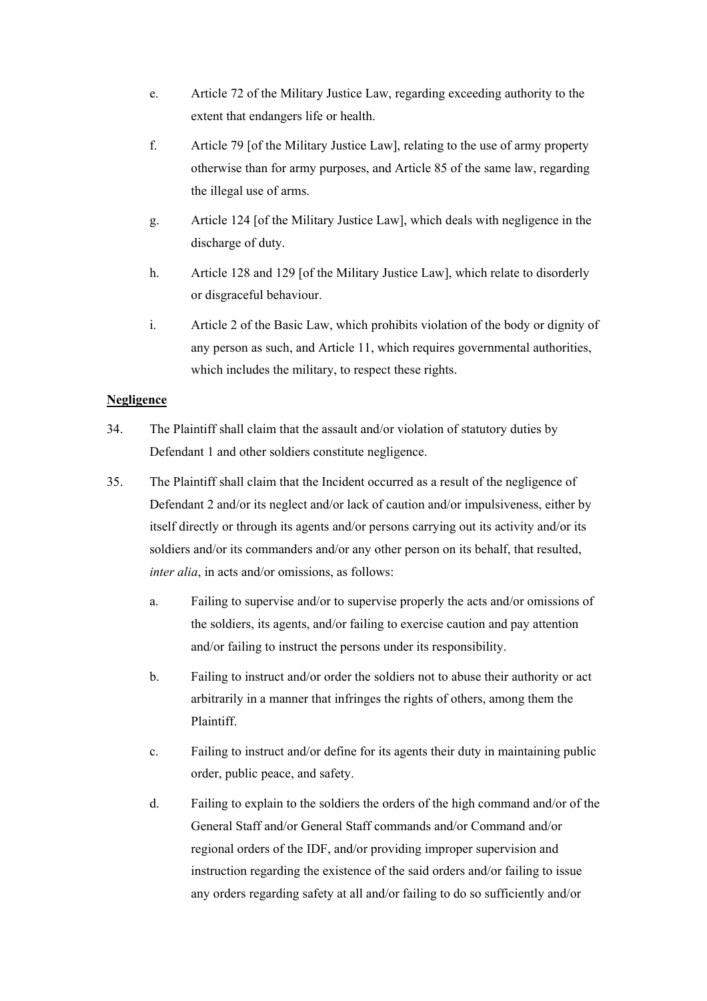- e. Article 72 of the Military Justice Law, regarding exceeding authority to the extent that endangers life or health.
- f. Article 79 [of the Military Justice Law], relating to the use of army property otherwise than for army purposes, and Article 85 of the same law, regarding the illegal use of arms.
- g. Article 124 [of the Military Justice Law], which deals with negligence in the discharge of duty.
- h. Article 128 and 129 [of the Military Justice Law], which relate to disorderly or disgraceful behaviour.
- i. Article 2 of the Basic Law, which prohibits violation of the body or dignity of any person as such, and Article 11, which requires governmental authorities, which includes the military, to respect these rights.

# **Negligence**

- 34. The Plaintiff shall claim that the assault and/or violation of statutory duties by Defendant 1 and other soldiers constitute negligence.
- 35. The Plaintiff shall claim that the Incident occurred as a result of the negligence of Defendant 2 and/or its neglect and/or lack of caution and/or impulsiveness, either by itself directly or through its agents and/or persons carrying out its activity and/or its soldiers and/or its commanders and/or any other person on its behalf, that resulted, *inter alia*, in acts and/or omissions, as follows:
	- a. Failing to supervise and/or to supervise properly the acts and/or omissions of the soldiers, its agents, and/or failing to exercise caution and pay attention and/or failing to instruct the persons under its responsibility.
	- b. Failing to instruct and/or order the soldiers not to abuse their authority or act arbitrarily in a manner that infringes the rights of others, among them the Plaintiff.
	- c. Failing to instruct and/or define for its agents their duty in maintaining public order, public peace, and safety.
	- d. Failing to explain to the soldiers the orders of the high command and/or of the General Staff and/or General Staff commands and/or Command and/or regional orders of the IDF, and/or providing improper supervision and instruction regarding the existence of the said orders and/or failing to issue any orders regarding safety at all and/or failing to do so sufficiently and/or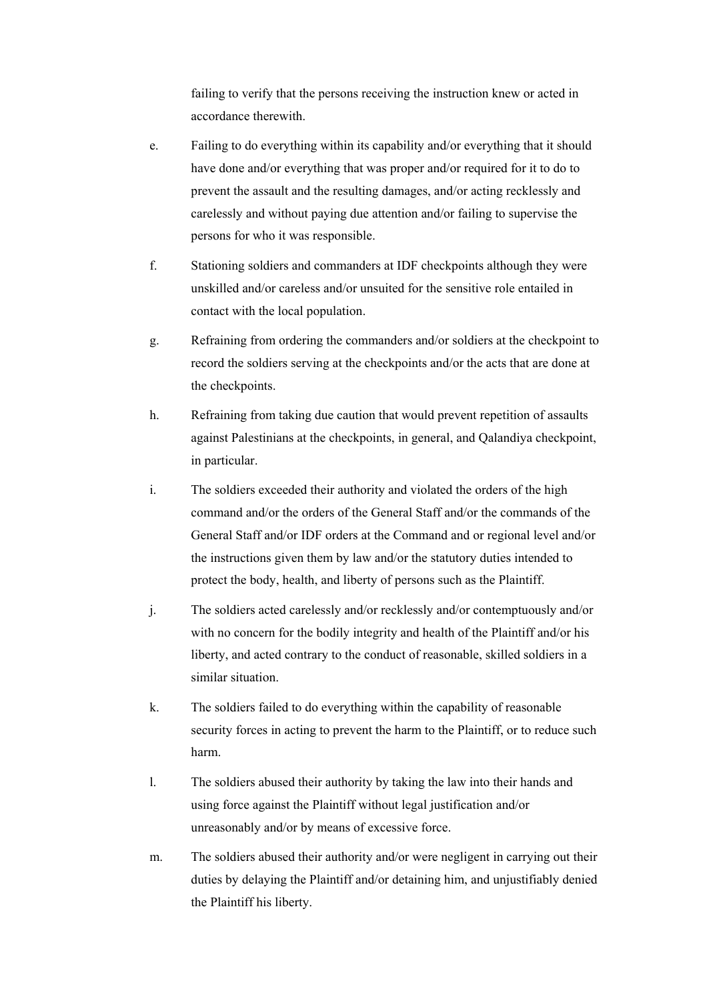failing to verify that the persons receiving the instruction knew or acted in accordance therewith.

- e. Failing to do everything within its capability and/or everything that it should have done and/or everything that was proper and/or required for it to do to prevent the assault and the resulting damages, and/or acting recklessly and carelessly and without paying due attention and/or failing to supervise the persons for who it was responsible.
- f. Stationing soldiers and commanders at IDF checkpoints although they were unskilled and/or careless and/or unsuited for the sensitive role entailed in contact with the local population.
- g. Refraining from ordering the commanders and/or soldiers at the checkpoint to record the soldiers serving at the checkpoints and/or the acts that are done at the checkpoints.
- h. Refraining from taking due caution that would prevent repetition of assaults against Palestinians at the checkpoints, in general, and Qalandiya checkpoint, in particular.
- i. The soldiers exceeded their authority and violated the orders of the high command and/or the orders of the General Staff and/or the commands of the General Staff and/or IDF orders at the Command and or regional level and/or the instructions given them by law and/or the statutory duties intended to protect the body, health, and liberty of persons such as the Plaintiff.
- j. The soldiers acted carelessly and/or recklessly and/or contemptuously and/or with no concern for the bodily integrity and health of the Plaintiff and/or his liberty, and acted contrary to the conduct of reasonable, skilled soldiers in a similar situation.
- k. The soldiers failed to do everything within the capability of reasonable security forces in acting to prevent the harm to the Plaintiff, or to reduce such harm.
- l. The soldiers abused their authority by taking the law into their hands and using force against the Plaintiff without legal justification and/or unreasonably and/or by means of excessive force.
- m. The soldiers abused their authority and/or were negligent in carrying out their duties by delaying the Plaintiff and/or detaining him, and unjustifiably denied the Plaintiff his liberty.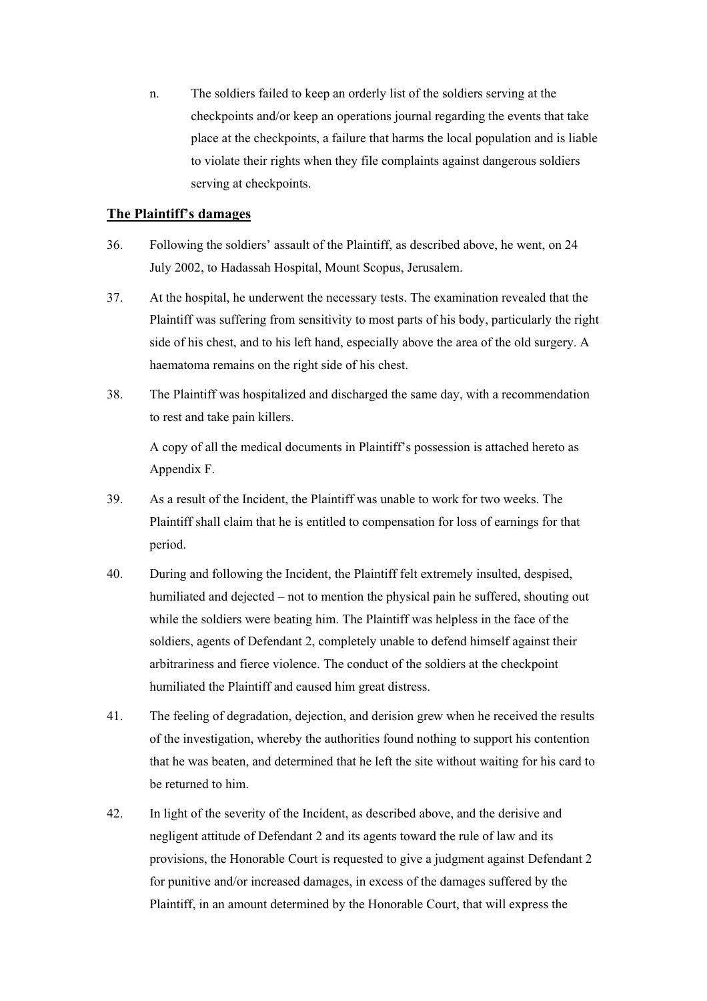n. The soldiers failed to keep an orderly list of the soldiers serving at the checkpoints and/or keep an operations journal regarding the events that take place at the checkpoints, a failure that harms the local population and is liable to violate their rights when they file complaints against dangerous soldiers serving at checkpoints.

#### **The Plaintiff's damages**

- 36. Following the soldiers' assault of the Plaintiff, as described above, he went, on 24 July 2002, to Hadassah Hospital, Mount Scopus, Jerusalem.
- 37. At the hospital, he underwent the necessary tests. The examination revealed that the Plaintiff was suffering from sensitivity to most parts of his body, particularly the right side of his chest, and to his left hand, especially above the area of the old surgery. A haematoma remains on the right side of his chest.
- 38. The Plaintiff was hospitalized and discharged the same day, with a recommendation to rest and take pain killers.

A copy of all the medical documents in Plaintiff's possession is attached hereto as Appendix F.

- 39. As a result of the Incident, the Plaintiff was unable to work for two weeks. The Plaintiff shall claim that he is entitled to compensation for loss of earnings for that period.
- 40. During and following the Incident, the Plaintiff felt extremely insulted, despised, humiliated and dejected – not to mention the physical pain he suffered, shouting out while the soldiers were beating him. The Plaintiff was helpless in the face of the soldiers, agents of Defendant 2, completely unable to defend himself against their arbitrariness and fierce violence. The conduct of the soldiers at the checkpoint humiliated the Plaintiff and caused him great distress.
- 41. The feeling of degradation, dejection, and derision grew when he received the results of the investigation, whereby the authorities found nothing to support his contention that he was beaten, and determined that he left the site without waiting for his card to be returned to him.
- 42. In light of the severity of the Incident, as described above, and the derisive and negligent attitude of Defendant 2 and its agents toward the rule of law and its provisions, the Honorable Court is requested to give a judgment against Defendant 2 for punitive and/or increased damages, in excess of the damages suffered by the Plaintiff, in an amount determined by the Honorable Court, that will express the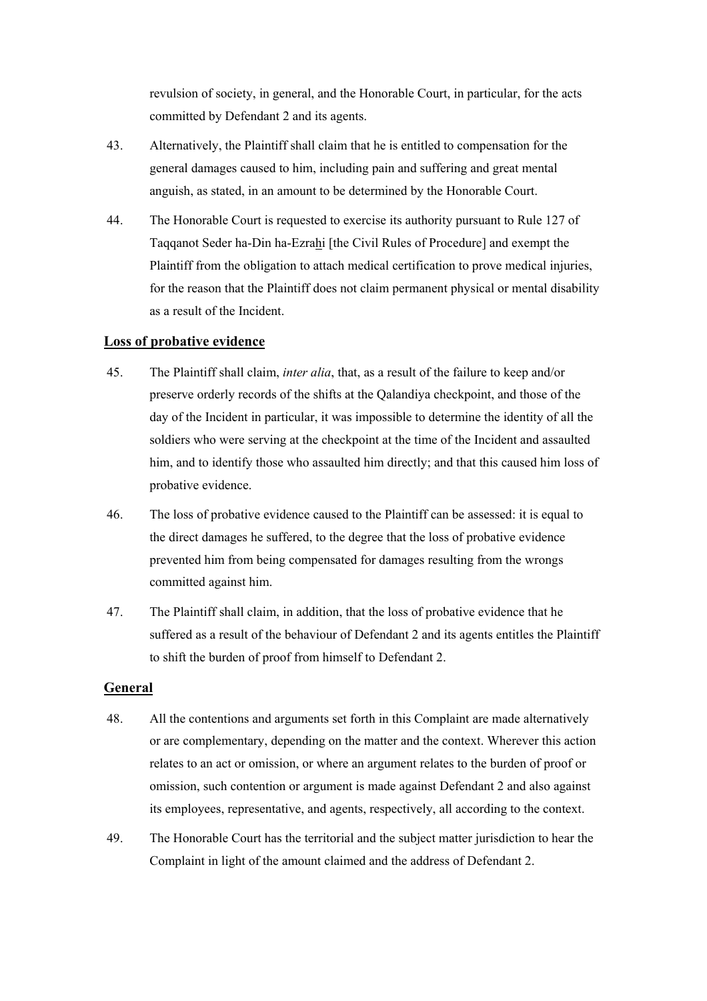revulsion of society, in general, and the Honorable Court, in particular, for the acts committed by Defendant 2 and its agents.

- 43. Alternatively, the Plaintiff shall claim that he is entitled to compensation for the general damages caused to him, including pain and suffering and great mental anguish, as stated, in an amount to be determined by the Honorable Court.
- 44. The Honorable Court is requested to exercise its authority pursuant to Rule 127 of Taqqanot Seder ha-Din ha-Ezrahi [the Civil Rules of Procedure] and exempt the Plaintiff from the obligation to attach medical certification to prove medical injuries, for the reason that the Plaintiff does not claim permanent physical or mental disability as a result of the Incident.

#### **Loss of probative evidence**

- 45. The Plaintiff shall claim, *inter alia*, that, as a result of the failure to keep and/or preserve orderly records of the shifts at the Qalandiya checkpoint, and those of the day of the Incident in particular, it was impossible to determine the identity of all the soldiers who were serving at the checkpoint at the time of the Incident and assaulted him, and to identify those who assaulted him directly; and that this caused him loss of probative evidence.
- 46. The loss of probative evidence caused to the Plaintiff can be assessed: it is equal to the direct damages he suffered, to the degree that the loss of probative evidence prevented him from being compensated for damages resulting from the wrongs committed against him.
- 47. The Plaintiff shall claim, in addition, that the loss of probative evidence that he suffered as a result of the behaviour of Defendant 2 and its agents entitles the Plaintiff to shift the burden of proof from himself to Defendant 2.

# **General**

- 48. All the contentions and arguments set forth in this Complaint are made alternatively or are complementary, depending on the matter and the context. Wherever this action relates to an act or omission, or where an argument relates to the burden of proof or omission, such contention or argument is made against Defendant 2 and also against its employees, representative, and agents, respectively, all according to the context.
- 49. The Honorable Court has the territorial and the subject matter jurisdiction to hear the Complaint in light of the amount claimed and the address of Defendant 2.